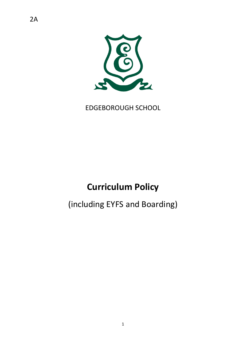

EDGEBOROUGH SCHOOL

# **Curriculum Policy**

# (including EYFS and Boarding)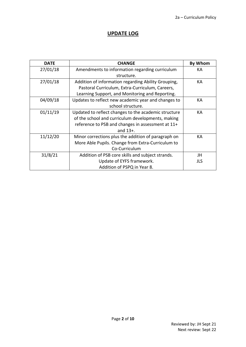### **UPDATE LOG**

| <b>DATE</b> | <b>CHANGE</b>                                        | <b>By Whom</b> |
|-------------|------------------------------------------------------|----------------|
| 27/01/18    | Amendments to information regarding curriculum       | КA             |
|             | structure.                                           |                |
| 27/01/18    | Addition of information regarding Ability Grouping,  | КA             |
|             | Pastoral Curriculum, Extra-Curriculum, Careers,      |                |
|             | Learning Support, and Monitoring and Reporting.      |                |
| 04/09/18    | Updates to reflect new academic year and changes to  | KA             |
|             | school structure.                                    |                |
| 01/11/19    | Updated to reflect changes to the academic structure | КA             |
|             | of the school and curriculum developments, making    |                |
|             | reference to PSB and changes in assessment at 11+    |                |
|             | and $13+$ .                                          |                |
| 11/12/20    | Minor corrections plus the addition of paragraph on  | KA             |
|             | More Able Pupils. Change from Extra-Curriculum to    |                |
|             | Co-Curriculum                                        |                |
| 31/8/21     | Addition of PSB core skills and subject strands.     | JH             |
|             | Update of EYFS framework.                            | JLS            |
|             | Addition of PSPQ in Year 8.                          |                |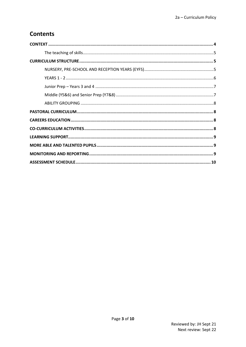# **Contents**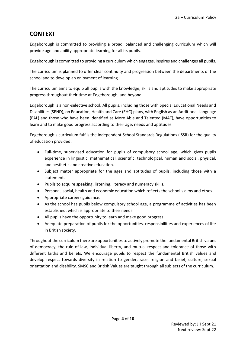# <span id="page-3-0"></span>**CONTEXT**

Edgeborough is committed to providing a broad, balanced and challenging curriculum which will provide age and ability appropriate learning for all its pupils.

Edgeborough is committed to providing a curriculum which engages, inspires and challenges all pupils.

The curriculum is planned to offer clear continuity and progression between the departments of the school and to develop an enjoyment of learning.

The curriculum aims to equip all pupils with the knowledge, skills and aptitudes to make appropriate progress throughout their time at Edgeborough, and beyond.

Edgeborough is a non-selective school. All pupils, including those with Special Educational Needs and Disabilities (SEND), on Education, Health and Care (EHC) plans, with English as an Additional Language (EAL) and those who have been identified as More Able and Talented (MAT), have opportunities to learn and to make good progress according to their age, needs and aptitudes.

Edgeborough's curriculum fulfils the Independent School Standards Regulations (ISSR) for the quality of education provided:

- Full-time, supervised education for pupils of compulsory school age, which gives pupils experience in linguistic, mathematical, scientific, technological, human and social, physical, and aesthetic and creative education.
- Subject matter appropriate for the ages and aptitudes of pupils, including those with a statement.
- Pupils to acquire speaking, listening, literacy and numeracy skills.
- Personal, social, health and economic education which reflects the school's aims and ethos.
- Appropriate careers guidance.
- As the school has pupils below compulsory school age, a programme of activities has been established, which is appropriate to their needs.
- All pupils have the opportunity to learn and make good progress.
- Adequate preparation of pupils for the opportunities, responsibilities and experiences of life in British society.

Throughout the curriculum there are opportunities to actively promote the fundamental British values of democracy, the rule of law, individual liberty, and mutual respect and tolerance of those with different faiths and beliefs. We encourage pupils to respect the fundamental British values and develop respect towards diversity in relation to gender, race, religion and belief, culture, sexual orientation and disability. SMSC and British Values are taught through all subjects of the curriculum.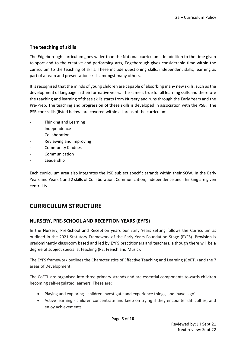#### <span id="page-4-0"></span>**The teaching of skills**

The Edgeborough curriculum goes wider than the National curriculum. In addition to the time given to sport and to the creative and performing arts, Edgeborough gives considerable time within the curriculum to the teaching of skills. These include questioning skills, independent skills, learning as part of a team and presentation skills amongst many others.

It is recognised that the minds of young children are capable of absorbing many new skills, such as the development of language in their formative years. The same is true for all learning skills and therefore the teaching and learning of these skills starts from Nursery and runs through the Early Years and the Pre-Prep. The teaching and progression of these skills is developed in association with the PSB. The PSB core skills (listed below) are covered within all areas of the curriculum.

- Thinking and Learning
- Independence
- **Collaboration**
- Reviewing and Improving
- Community Kindness
- **Communication**
- **Leadership**

Each curriculum area also integrates the PSB subject specific strands within their SOW. In the Early Years and Years 1 and 2 skills of Collaboration, Communication, Independence and Thinking are given centrality.

# <span id="page-4-1"></span>**CURRICULUM STRUCTURE**

#### <span id="page-4-2"></span>**NURSERY, PRE-SCHOOL AND RECEPTION YEARS (EYFS)**

In the Nursery, Pre-School and Reception years our Early Years setting follows the Curriculum as outlined in the 2021 Statutory Framework of the Early Years Foundation Stage (EYFS). Provision is predominantly classroom based and led by EYFS practitioners and teachers, although there will be a degree of subject specialist teaching (PE, French and Music).

The EYFS framework outlines the Characteristics of Effective Teaching and Learning (CoETL) and the 7 areas of Development.

The CoETL are organised into three primary strands and are essential components towards children becoming self-regulated learners. These are:

- Playing and exploring children investigate and experience things, and 'have a go'
- Active learning children concentrate and keep on trying if they encounter difficulties, and enjoy achievements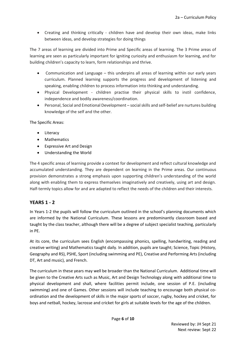• Creating and thinking critically - children have and develop their own ideas, make links between ideas, and develop strategies for doing things

The 7 areas of learning are divided into Prime and Specific areas of learning. The 3 Prime areas of learning are seen as particularly important for igniting curiosity and enthusiasm for learning, and for building children's capacity to learn, form relationships and thrive.

- Communication and Language this underpins all areas of learning within our early years curriculum. Planned learning supports the progress and development of listening and speaking, enabling children to process information into thinking and understanding.
- Physical Development children practise their physical skills to instil confidence, independence and bodily awareness/coordination.
- Personal, Social and Emotional Development social skills and self-belief are nurtures building knowledge of the self and the other.

The Specific Areas:

- Literacy
- Mathematics
- Expressive Art and Design
- Understanding the World

The 4 specific areas of learning provide a context for development and reflect cultural knowledge and accumulated understanding. They are dependent on learning in the Prime areas. Our continuous provision demonstrates a strong emphasis upon supporting children's understanding of the world along with enabling them to express themselves imaginatively and creatively, using art and design. Half-termly topics allow for and are adapted to reflect the needs of the children and their interests.

#### <span id="page-5-0"></span>**YEARS 1 - 2**

In Years 1-2 the pupils will follow the curriculum outlined in the school's planning documents which are informed by the National Curriculum. These lessons are predominantly classroom based and taught by the class teacher, although there will be a degree of subject specialist teaching, particularly in PE.

At its core, the curriculum sees English (encompassing phonics, spelling, handwriting, reading and creative writing) and Mathematics taught daily. In addition, pupils are taught; Science, Topic (History, Geography and RS), PSHE, Sport (including swimming and PE), Creative and Performing Arts (including DT, Art and music), and French.

The curriculum in these years may well be broader than the National Curriculum. Additional time will be given to the Creative Arts such as Music, Art and Design Technology along with additional time to physical development and shall, where facilities permit include, one session of P.E. (including swimming) and one of Games. Other sessions will include teaching to encourage both physical coordination and the development of skills in the major sports of soccer, rugby, hockey and cricket, for boys and netball, hockey, lacrosse and cricket for girls at suitable levels for the age of the children.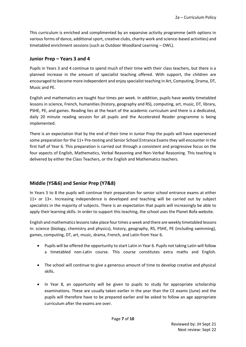This curriculum is enriched and complimented by an expansive activity programme (with options in various forms of dance, additional sport, creative clubs, charity work and science-based activities) and timetabled enrichment sessions (such as Outdoor Woodland Learning – OWL).

#### <span id="page-6-0"></span>**Junior Prep – Years 3 and 4**

Pupils in Years 3 and 4 continue to spend much of their time with their class teachers, but there is a planned increase in the amount of specialist teaching offered. With support, the children are encouraged to become more independent and enjoy specialist teaching in Art, Computing, Drama, DT, Music and PE.

English and mathematics are taught four times per week. In addition, pupils have weekly timetabled lessons in science, French, humanities (history, geography and RS), computing, art, music, DT, library, PSHE, PE, and games. Reading lies at the heart of the academic curriculum and there is a dedicated, daily 20 minute reading session for all pupils and the Accelerated Reader programme is being implemented.

There is an expectation that by the end of their time in Junior Prep the pupils will have experienced some preparation for the 11+ Pre-testing and Senior School Entrance Exams they will encounter in the first half of Year 6. This preparation is carried out through a consistent and progressive focus on the four aspects of English, Mathematics, Verbal Reasoning and Non-Verbal Reasoning. This teaching is delivered by either the Class Teachers, or the English and Mathematics teachers.

#### <span id="page-6-1"></span>**Middle (Y5&6) and Senior Prep (Y7&8)**

In Years 5 to 8 the pupils will continue their preparation for senior school entrance exams at either 11+ or 13+. Increasing independence is developed and teaching will be carried out by subject specialists in the majority of subjects. There is an expectation that pupils will increasingly be able to apply their learning skills. In order to support this teaching, the school uses the Planet Bofa website.

English and mathematics lessonstake place four times a week and there are weekly timetabled lessons in: science (biology, chemistry and physics), history, geography, RS, PSHE, PE (including swimming), games, computing, DT, art, music, drama, French, and Latin from Year 6.

- Pupils will be offered the opportunity to start Latin in Year 6. Pupils not taking Latin will follow a timetabled non-Latin course. This course constitutes extra maths and English.
- The school will continue to give a generous amount of time to develop creative and physical skills.
- In Year 8, an opportunity will be given to pupils to study for appropriate scholarship examinations. These are usually taken earlier in the year than the CE exams (June) and the pupils will therefore have to be prepared earlier and be asked to follow an age appropriate curriculum after the exams are over.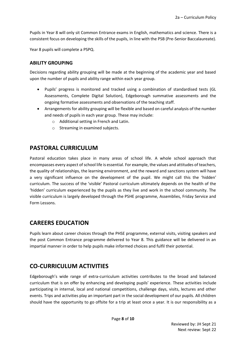Pupils in Year 8 will only sit Common Entrance exams in English, mathematics and science. There is a consistent focus on developing the skills of the pupils, in line with the PSB (Pre-Senior Baccalaureate).

Year 8 pupils will complete a PSPQ.

#### <span id="page-7-0"></span>**ABILITY GROUPING**

Decisions regarding ability grouping will be made at the beginning of the academic year and based upon the number of pupils and ability range within each year group.

- Pupils' progress is monitored and tracked using a combination of standardised tests (GL Assessments, Complete Digital Solution), Edgeborough summative assessments and the ongoing formative assessments and observations of the teaching staff.
- Arrangements for ability grouping will be flexible and based on careful analysis of the number and needs of pupils in each year group. These may include:
	- o Additional setting in French and Latin.
	- o Streaming in examined subjects.

## <span id="page-7-1"></span>**PASTORAL CURRICULUM**

Pastoral education takes place in many areas of school life. A whole school approach that encompasses every aspect of school life is essential. For example, the values and attitudes of teachers, the quality of relationships, the learning environment, and the reward and sanctions system will have a very significant influence on the development of the pupil. We might call this the 'hidden' curriculum. The success of the 'visible' Pastoral curriculum ultimately depends on the health of the 'hidden' curriculum experienced by the pupils as they live and work in the school community. The visible curriculum is largely developed through the PSHE programme, Assemblies, Friday Service and Form Lessons.

## <span id="page-7-2"></span>**CAREERS EDUCATION**

Pupils learn about career choices through the PHSE programme, external visits, visiting speakers and the post Common Entrance programme delivered to Year 8. This guidance will be delivered in an impartial manner in order to help pupils make informed choices and fulfil their potential.

## <span id="page-7-3"></span>**CO-CURRICULUM ACTIVITIES**

Edgeborough's wide range of extra-curriculum activities contributes to the broad and balanced curriculum that is on offer by enhancing and developing pupils' experience. These activities include participating in internal, local and national competitions, challenge days, visits, lectures and other events. Trips and activities play an important part in the social development of our pupils. All children should have the opportunity to go offsite for a trip at least once a year. It is our responsibility as a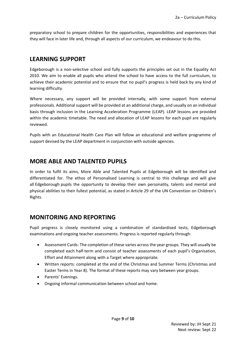preparatory school to prepare children for the opportunities, responsibilities and experiences that they will face in later life and, through all aspects of our curriculum, we endeavour to do this.

## <span id="page-8-0"></span>**LEARNING SUPPORT**

Edgeborough is a non-selective school and fully supports the principles set out in the Equality Act 2010. We aim to enable all pupils who attend the school to have access to the full curriculum, to achieve their academic potential and to ensure that no pupil's progress is held back by any kind of learning difficulty.

Where necessary, any support will be provided internally, with some support from external professionals. Additional support will be provided at an additional charge, and usually on an individual basis through inclusion in the Learning Acceleration Programme (LEAP). LEAP lessons are provided within the academic timetable. The need and allocation of LEAP lessons for each pupil are regularly reviewed.

Pupils with an Educational Health Care Plan will follow an educational and welfare programme of support devised by the LEAP department in conjunction with outside agencies.

## <span id="page-8-1"></span>**MORE ABLE AND TALENTED PUPILS**

In order to fulfil its aims, More Able and Talented Pupils at Edgeborough will be identified and differentiated for. The ethos of Personalised Learning is central to this challenge and will give all Edgeborough pupils the opportunity to develop their own personality, talents and mental and physical abilities to their fullest potential, as stated in Article 29 of the UN Convention on Children's Rights.

## <span id="page-8-2"></span>**MONITORING AND REPORTING**

Pupil progress is closely monitored using a combination of standardised tests, Edgeborough examinations and ongoing teacher assessments. Progress is reported regularly through:

- Assessment Cards: The completion of these varies across the year groups. They will usually be completed each half-term and consist of teacher assessments of each pupil's Organisation, Effort and Attainment along with a Target where appropriate.
- Written reports: completed at the end of the Christmas and Summer Terms (Christmas and Easter Terms in Year 8). The format of these reports may vary between year groups.
- Parents' Evenings.
- Ongoing informal communication between school and home.